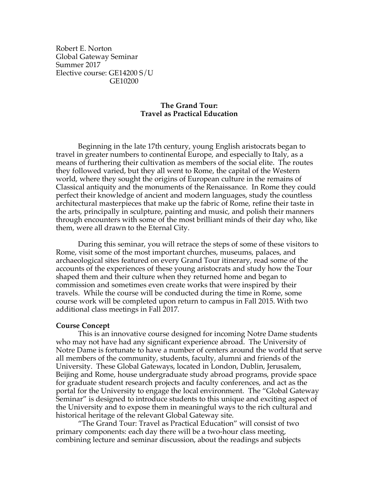Robert E. Norton Global Gateway Seminar Summer 2017 Elective course: GE14200 S/U GE10200

### **The Grand Tour: Travel as Practical Education**

Beginning in the late 17th century, young English aristocrats began to travel in greater numbers to continental Europe, and especially to Italy, as a means of furthering their cultivation as members of the social elite. The routes they followed varied, but they all went to Rome, the capital of the Western world, where they sought the origins of European culture in the remains of Classical antiquity and the monuments of the Renaissance. In Rome they could perfect their knowledge of ancient and modern languages, study the countless architectural masterpieces that make up the fabric of Rome, refine their taste in the arts, principally in sculpture, painting and music, and polish their manners through encounters with some of the most brilliant minds of their day who, like them, were all drawn to the Eternal City.

During this seminar, you will retrace the steps of some of these visitors to Rome, visit some of the most important churches, museums, palaces, and archaeological sites featured on every Grand Tour itinerary, read some of the accounts of the experiences of these young aristocrats and study how the Tour shaped them and their culture when they returned home and began to commission and sometimes even create works that were inspired by their travels. While the course will be conducted during the time in Rome, some course work will be completed upon return to campus in Fall 2015. With two additional class meetings in Fall 2017.

#### **Course Concept**

This is an innovative course designed for incoming Notre Dame students who may not have had any significant experience abroad. The University of Notre Dame is fortunate to have a number of centers around the world that serve all members of the community, students, faculty, alumni and friends of the University. These Global Gateways, located in London, Dublin, Jerusalem, Beijing and Rome, house undergraduate study abroad programs, provide space for graduate student research projects and faculty conferences, and act as the portal for the University to engage the local environment. The "Global Gateway Seminar" is designed to introduce students to this unique and exciting aspect of the University and to expose them in meaningful ways to the rich cultural and historical heritage of the relevant Global Gateway site.

"The Grand Tour: Travel as Practical Education" will consist of two primary components: each day there will be a two-hour class meeting, combining lecture and seminar discussion, about the readings and subjects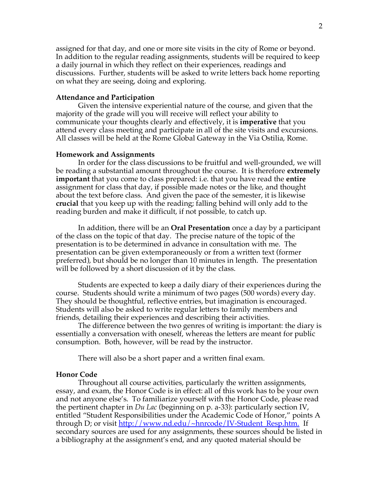assigned for that day, and one or more site visits in the city of Rome or beyond. In addition to the regular reading assignments, students will be required to keep a daily journal in which they reflect on their experiences, readings and discussions. Further, students will be asked to write letters back home reporting on what they are seeing, doing and exploring.

#### **Attendance and Participation**

Given the intensive experiential nature of the course, and given that the majority of the grade will you will receive will reflect your ability to communicate your thoughts clearly and effectively, it is **imperative** that you attend every class meeting and participate in all of the site visits and excursions. All classes will be held at the Rome Global Gateway in the Via Ostilia, Rome.

#### **Homework and Assignments**

In order for the class discussions to be fruitful and well-grounded, we will be reading a substantial amount throughout the course. It is therefore **extremely important** that you come to class prepared: i.e. that you have read the **entire** assignment for class that day, if possible made notes or the like, and thought about the text before class. And given the pace of the semester, it is likewise **crucial** that you keep up with the reading; falling behind will only add to the reading burden and make it difficult, if not possible, to catch up.

In addition, there will be an **Oral Presentation** once a day by a participant of the class on the topic of that day. The precise nature of the topic of the presentation is to be determined in advance in consultation with me. The presentation can be given extemporaneously or from a written text (former preferred), but should be no longer than 10 minutes in length. The presentation will be followed by a short discussion of it by the class.

Students are expected to keep a daily diary of their experiences during the course. Students should write a minimum of two pages (500 words) every day. They should be thoughtful, reflective entries, but imagination is encouraged. Students will also be asked to write regular letters to family members and friends, detailing their experiences and describing their activities.

The difference between the two genres of writing is important: the diary is essentially a conversation with oneself, whereas the letters are meant for public consumption. Both, however, will be read by the instructor.

There will also be a short paper and a written final exam.

#### **Honor Code**

Throughout all course activities, particularly the written assignments, essay, and exam, the Honor Code is in effect: all of this work has to be your own and not anyone else's. To familiarize yourself with the Honor Code, please read the pertinent chapter in *Du Lac* (beginning on p. a-33): particularly section IV, entitled "Student Responsibilities under the Academic Code of Honor," points A through D; or visit <u>http://www.nd.edu/~hnrcode/IV-Student\_Resp.htm.</u> If secondary sources are used for any assignments, these sources should be listed in a bibliography at the assignment's end, and any quoted material should be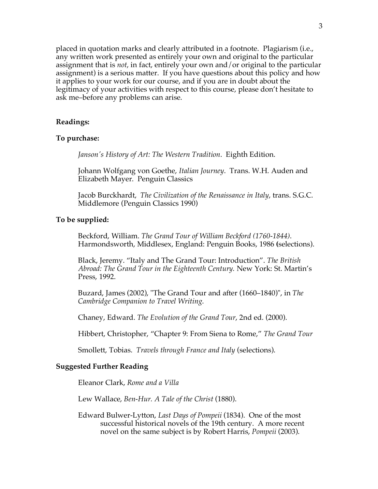placed in quotation marks and clearly attributed in a footnote. Plagiarism (i.e., any written work presented as entirely your own and original to the particular assignment that is *not*, in fact, entirely your own and/or original to the particular assignment) is a serious matter. If you have questions about this policy and how it applies to your work for our course, and if you are in doubt about the legitimacy of your activities with respect to this course, please don't hesitate to ask me–before any problems can arise.

### **Readings:**

#### **To purchase:**

*Janson's History of Art: The Western Tradition*. Eighth Edition.

Johann Wolfgang von Goethe, *Italian Journey*. Trans. W.H. Auden and Elizabeth Mayer. Penguin Classics

Jacob Burckhardt, *The Civilization of the Renaissance in Italy*, trans. S.G.C. Middlemore (Penguin Classics 1990)

#### **To be supplied:**

Beckford, William. *The Grand Tour of William Beckford (1760-1844)*. Harmondsworth, Middlesex, England: Penguin Books, 1986 **(**selections).

Black, Jeremy. "Italy and The Grand Tour: Introduction". *The British Abroad: The Grand Tour in the Eighteenth Century.* New York: St. Martin's Press, 1992.

Buzard, James (2002), "The Grand Tour and after (1660–1840)", in *The Cambridge Companion to Travel Writing*.

Chaney, Edward. *The Evolution of the Grand Tour*, 2nd ed. (2000).

Hibbert, Christopher, "Chapter 9: From Siena to Rome," *The Grand Tour*

Smollett, Tobias. *Travels through France and Italy* (selections).

### **Suggested Further Reading**

Eleanor Clark, *Rome and a Villa*

Lew Wallace, *Ben-Hur. A Tale of the Christ* (1880).

Edward Bulwer-Lytton, *Last Days of Pompeii* (1834). One of the most successful historical novels of the 19th century. A more recent novel on the same subject is by Robert Harris, *Pompeii* (2003).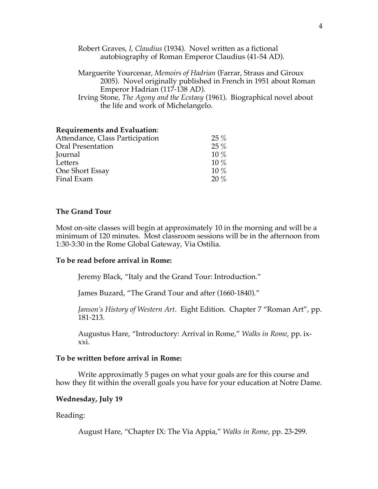Robert Graves, *I, Claudius* (1934). Novel written as a fictional autobiography of Roman Emperor Claudius (41-54 AD).

Marguerite Yourcenar, *Memoirs of Hadrian* (Farrar, Straus and Giroux 2005). Novel originally published in French in 1951 about Roman Emperor Hadrian (117-138 AD).

Irving Stone, *The Agony and the Ecstasy* (1961). Biographical novel about the life and work of Michelangelo.

### **Requirements and Evaluation**:

| Attendance, Class Participation | $25\%$ |
|---------------------------------|--------|
| <b>Oral Presentation</b>        | $25\%$ |
| Journal                         | $10\%$ |
| Letters                         | $10\%$ |
| One Short Essay                 | $10\%$ |
| Final Exam                      | 20%    |

### **The Grand Tour**

Most on-site classes will begin at approximately 10 in the morning and will be a minimum of 120 minutes. Most classroom sessions will be in the afternoon from 1:30-3:30 in the Rome Global Gateway, Via Ostilia.

#### **To be read before arrival in Rome:**

Jeremy Black, "Italy and the Grand Tour: Introduction."

James Buzard, "The Grand Tour and after (1660-1840)."

*Janson's History of Western Art*. Eight Edition. Chapter 7 "Roman Art", pp. 181-213.

Augustus Hare, "Introductory: Arrival in Rome," *Walks in Rome*, pp. ixxxi.

#### **To be written before arrival in Rome:**

Write approximatly 5 pages on what your goals are for this course and how they fit within the overall goals you have for your education at Notre Dame.

#### **Wednesday, July 19**

Reading:

August Hare, "Chapter IX: The Via Appia," *Walks in Rome*, pp. 23-299.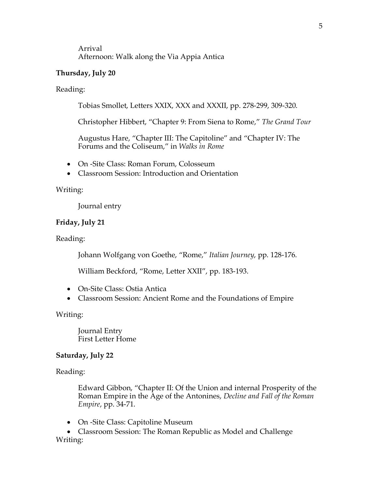### Arrival Afternoon: Walk along the Via Appia Antica

## **Thursday, July 20**

### Reading:

Tobias Smollet, Letters XXIX, XXX and XXXII, pp. 278-299, 309-320.

Christopher Hibbert, "Chapter 9: From Siena to Rome," *The Grand Tour*

Augustus Hare, "Chapter III: The Capitoline" and "Chapter IV: The Forums and the Coliseum," in *Walks in Rome*

- On -Site Class: Roman Forum, Colosseum
- Classroom Session: Introduction and Orientation

### Writing:

Journal entry

### **Friday, July 21**

Reading:

Johann Wolfgang von Goethe, "Rome," *Italian Journey*, pp. 128-176.

William Beckford, "Rome, Letter XXII", pp. 183-193.

- On-Site Class: Ostia Antica
- Classroom Session: Ancient Rome and the Foundations of Empire

Writing:

Journal Entry First Letter Home

### **Saturday, July 22**

### Reading:

Edward Gibbon, "Chapter II: Of the Union and internal Prosperity of the Roman Empire in the Age of the Antonines, *Decline and Fall of the Roman Empire*, pp. 34-71.

• On -Site Class: Capitoline Museum

• Classroom Session: The Roman Republic as Model and Challenge Writing: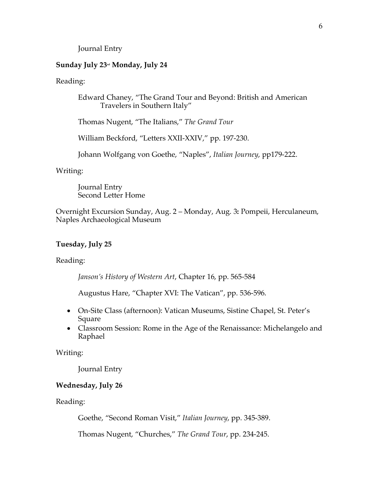Journal Entry

### **Sunday July 23nd Monday, July 24**

#### Reading:

Edward Chaney, "The Grand Tour and Beyond: British and American Travelers in Southern Italy"

Thomas Nugent, "The Italians," *The Grand Tour*

William Beckford, "Letters XXII-XXIV," pp. 197-230.

Johann Wolfgang von Goethe, "Naples", *Italian Journey*, pp179-222.

#### Writing:

Journal Entry Second Letter Home

Overnight Excursion Sunday, Aug. 2 – Monday, Aug. 3**:** Pompeii, Herculaneum, Naples Archaeological Museum

#### **Tuesday, July 25**

Reading:

*Janson's History of Western Art*, Chapter 16, pp. 565-584

Augustus Hare, "Chapter XVI: The Vatican", pp. 536-596.

- On-Site Class (afternoon): Vatican Museums, Sistine Chapel, St. Peter's Square
- Classroom Session: Rome in the Age of the Renaissance: Michelangelo and Raphael

Writing:

Journal Entry

### **Wednesday, July 26**

Reading:

Goethe, "Second Roman Visit," *Italian Journey*, pp. 345-389.

Thomas Nugent, "Churches," *The Grand Tour*, pp. 234-245.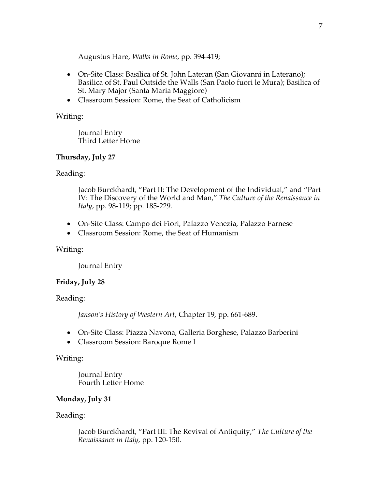Augustus Hare, *Walks in Rome*, pp. 394-419;

- On-Site Class: Basilica of St. John Lateran (San Giovanni in Laterano); Basilica of St. Paul Outside the Walls (San Paolo fuori le Mura); Basilica of St. Mary Major (Santa Maria Maggiore)
- Classroom Session: Rome, the Seat of Catholicism

## Writing:

Journal Entry Third Letter Home

## **Thursday, July 27**

Reading:

Jacob Burckhardt, "Part II: The Development of the Individual," and "Part IV: The Discovery of the World and Man," *The Culture of the Renaissance in Italy*, pp. 98-119; pp. 185-229.

- On-Site Class: Campo dei Fiori, Palazzo Venezia, Palazzo Farnese
- Classroom Session: Rome, the Seat of Humanism

# Writing:

Journal Entry

# **Friday, July 28**

Reading:

*Janson's History of Western Art*, Chapter 19, pp. 661-689.

- On-Site Class: Piazza Navona, Galleria Borghese, Palazzo Barberini
- Classroom Session: Baroque Rome I

# Writing:

Journal Entry Fourth Letter Home

# **Monday, July 31**

# Reading:

Jacob Burckhardt, "Part III: The Revival of Antiquity," *The Culture of the Renaissance in Italy*, pp. 120-150.